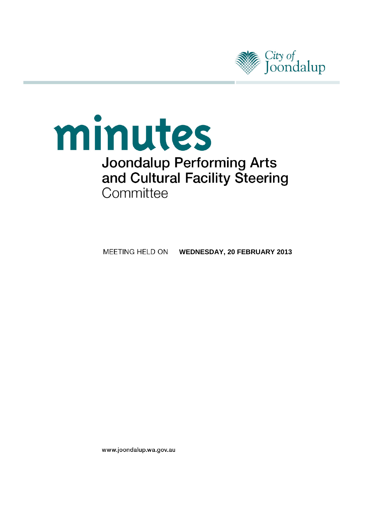

# minutes **Joondalup Performing Arts** and Cultural Facility Steering Committee

**MEETING HELD ON WEDNESDAY, 20 FEBRUARY 2013** 

www.joondalup.wa.gov.au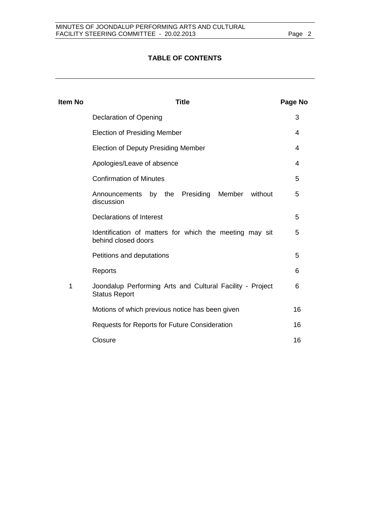# **TABLE OF CONTENTS**

| Page No |
|---------|
| 3       |
| 4       |
| 4       |
| 4       |
| 5       |
| 5       |
| 5       |
| 5       |
| 5       |
| 6       |
| 6       |
| 16      |
| 16      |
| 16      |
|         |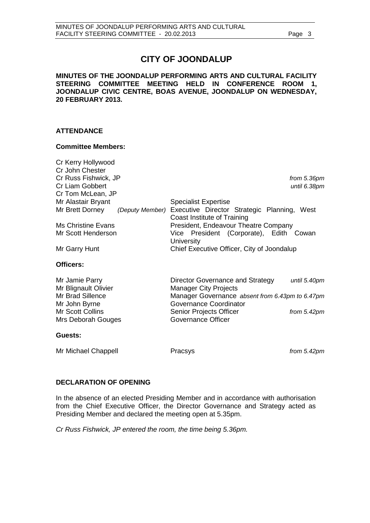# **CITY OF JOONDALUP**

**MINUTES OF THE JOONDALUP PERFORMING ARTS AND CULTURAL FACILITY STEERING COMMITTEE MEETING HELD IN CONFERENCE ROOM 1, JOONDALUP CIVIC CENTRE, BOAS AVENUE, JOONDALUP ON WEDNESDAY, 20 FEBRUARY 2013.**

# **ATTENDANCE**

# **Committee Members:**

| Cr Kerry Hollywood<br>Cr John Chester  |                                                                                  |
|----------------------------------------|----------------------------------------------------------------------------------|
| Cr Russ Fishwick, JP                   | from 5.36pm                                                                      |
| Cr Liam Gobbert                        | until 6.38pm                                                                     |
| Cr Tom McLean, JP                      |                                                                                  |
| Mr Alastair Bryant                     | <b>Specialist Expertise</b>                                                      |
| Mr Brett Dorney<br>(Deputy Member)     | Executive Director Strategic Planning, West<br>Coast Institute of Training       |
| Ms Christine Evans                     | President, Endeavour Theatre Company                                             |
| Mr Scott Henderson                     | Vice President (Corporate), Edith Cowan<br>University                            |
| Mr Garry Hunt                          | Chief Executive Officer, City of Joondalup                                       |
| Officers:                              |                                                                                  |
| Mr Jamie Parry<br>Mr Blignault Olivier | Director Governance and Strategy<br>until 5.40pm<br><b>Manager City Projects</b> |
| Mr Brad Sillence                       | Manager Governance absent from 6.43pm to 6.47pm                                  |
| Mr John Byrne                          | Governance Coordinator                                                           |
| Mr Scott Collins                       | Senior Projects Officer<br>from $5.42$ pm                                        |
| Mrs Deborah Gouges                     | <b>Governance Officer</b>                                                        |
|                                        |                                                                                  |
| Guests:                                |                                                                                  |

# <span id="page-2-0"></span>**DECLARATION OF OPENING**

In the absence of an elected Presiding Member and in accordance with authorisation from the Chief Executive Officer, the Director Governance and Strategy acted as Presiding Member and declared the meeting open at 5.35pm.

*Cr Russ Fishwick, JP entered the room, the time being 5.36pm.*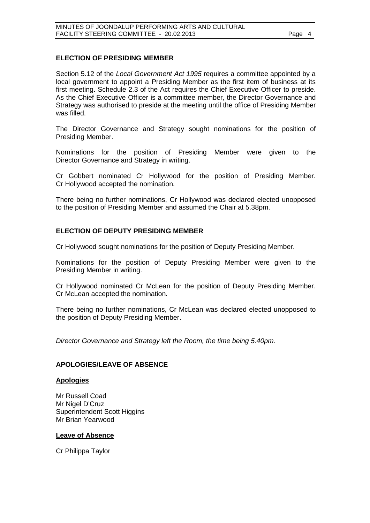# **ELECTION OF PRESIDING MEMBER**

Section 5.12 of the *Local Government Act 1995* requires a committee appointed by a local government to appoint a Presiding Member as the first item of business at its first meeting. Schedule 2.3 of the Act requires the Chief Executive Officer to preside. As the Chief Executive Officer is a committee member, the Director Governance and Strategy was authorised to preside at the meeting until the office of Presiding Member was filled.

The Director Governance and Strategy sought nominations for the position of Presiding Member.

Nominations for the position of Presiding Member were given to the Director Governance and Strategy in writing.

Cr Gobbert nominated Cr Hollywood for the position of Presiding Member. Cr Hollywood accepted the nomination.

There being no further nominations, Cr Hollywood was declared elected unopposed to the position of Presiding Member and assumed the Chair at 5.38pm.

# **ELECTION OF DEPUTY PRESIDING MEMBER**

Cr Hollywood sought nominations for the position of Deputy Presiding Member.

Nominations for the position of Deputy Presiding Member were given to the Presiding Member in writing.

Cr Hollywood nominated Cr McLean for the position of Deputy Presiding Member. Cr McLean accepted the nomination.

There being no further nominations, Cr McLean was declared elected unopposed to the position of Deputy Presiding Member.

*Director Governance and Strategy left the Room, the time being 5.40pm.* 

### <span id="page-3-0"></span>**APOLOGIES/LEAVE OF ABSENCE**

# **Apologies**

Mr Russell Coad Mr Nigel D'Cruz Superintendent Scott Higgins Mr Brian Yearwood

### **Leave of Absence**

<span id="page-3-1"></span>Cr Philippa Taylor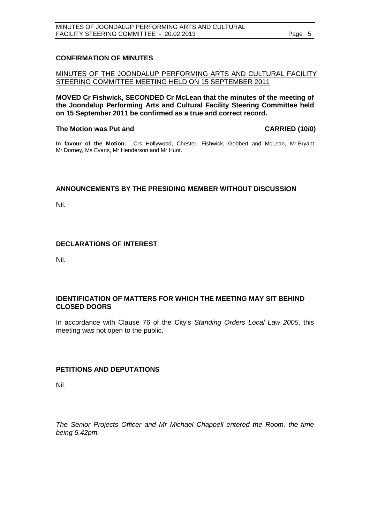# **CONFIRMATION OF MINUTES**

# MINUTES OF THE JOONDALUP PERFORMING ARTS AND CULTURAL FACILITY STEERING COMMITTEE MEETING HELD ON 15 SEPTEMBER 2011

**MOVED Cr Fishwick, SECONDED Cr McLean that the minutes of the meeting of the Joondalup Performing Arts and Cultural Facility Steering Committee held on 15 September 2011 be confirmed as a true and correct record.**

## **The Motion was Put and CARRIED (10/0)**

**In favour of the Motion:** Crs Hollywood, Chester, Fishwick, Gobbert and McLean, Mr Bryant, Mr Dorney, Ms Evans, Mr Henderson and Mr Hunt.

# <span id="page-4-0"></span>**ANNOUNCEMENTS BY THE PRESIDING MEMBER WITHOUT DISCUSSION**

Nil.

# <span id="page-4-1"></span>**DECLARATIONS OF INTEREST**

Nil.

# <span id="page-4-2"></span>**IDENTIFICATION OF MATTERS FOR WHICH THE MEETING MAY SIT BEHIND CLOSED DOORS**

In accordance with Clause 76 of the City's *Standing Orders Local Law 2005*, this meeting was not open to the public.

# <span id="page-4-3"></span>**PETITIONS AND DEPUTATIONS**

Nil.

*The Senior Projects Officer and Mr Michael Chappell entered the Room, the time being 5.42pm.*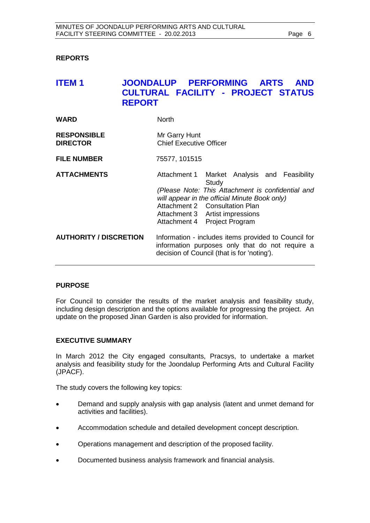# <span id="page-5-0"></span>**REPORTS**

# <span id="page-5-1"></span>**ITEM 1 JOONDALUP PERFORMING ARTS AND CULTURAL FACILITY - PROJECT STATUS REPORT**

| <b>WARD</b>                           | <b>North</b>                                    |  |  |  |
|---------------------------------------|-------------------------------------------------|--|--|--|
| <b>RESPONSIBLE</b><br><b>DIRECTOR</b> | Mr Garry Hunt<br><b>Chief Executive Officer</b> |  |  |  |
| <b>FILE NUMBER</b>                    | 75577, 101515                                   |  |  |  |

| <b>ATTACHMENTS</b>            | Attachment 1 Market Analysis and Feasibility                                                                                                                                                            | Study |  |  |  |
|-------------------------------|---------------------------------------------------------------------------------------------------------------------------------------------------------------------------------------------------------|-------|--|--|--|
|                               | (Please Note: This Attachment is confidential and<br>will appear in the official Minute Book only)<br>Attachment 2 Consultation Plan<br>Attachment 3 Artist impressions<br>Attachment 4 Project Program |       |  |  |  |
| <b>AUTHORITY / DISCRETION</b> | Information - includes items provided to Council for<br>information purposes only that do not require a<br>decision of Council (that is for 'noting').                                                  |       |  |  |  |

# **PURPOSE**

For Council to consider the results of the market analysis and feasibility study, including design description and the options available for progressing the project. An update on the proposed Jinan Garden is also provided for information.

# **EXECUTIVE SUMMARY**

In March 2012 the City engaged consultants, Pracsys, to undertake a market analysis and feasibility study for the Joondalup Performing Arts and Cultural Facility (JPACF).

The study covers the following key topics:

- Demand and supply analysis with gap analysis (latent and unmet demand for activities and facilities).
- Accommodation schedule and detailed development concept description.
- Operations management and description of the proposed facility.
- Documented business analysis framework and financial analysis.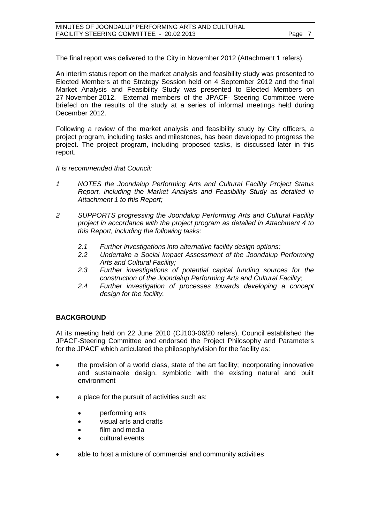The final report was delivered to the City in November 2012 (Attachment 1 refers).

An interim status report on the market analysis and feasibility study was presented to Elected Members at the Strategy Session held on 4 September 2012 and the final Market Analysis and Feasibility Study was presented to Elected Members on 27 November 2012. External members of the JPACF- Steering Committee were briefed on the results of the study at a series of informal meetings held during December 2012.

Following a review of the market analysis and feasibility study by City officers, a project program, including tasks and milestones, has been developed to progress the project. The project program, including proposed tasks, is discussed later in this report.

*It is recommended that Council:*

- *1 NOTES the Joondalup Performing Arts and Cultural Facility Project Status Report, including the Market Analysis and Feasibility Study as detailed in Attachment 1 to this Report;*
- *2 SUPPORTS progressing the Joondalup Performing Arts and Cultural Facility project in accordance with the project program as detailed in Attachment 4 to this Report, including the following tasks:*
	- *2.1 Further investigations into alternative facility design options;*
	- *2.2 Undertake a Social Impact Assessment of the Joondalup Performing Arts and Cultural Facility;*
	- *2.3 Further investigations of potential capital funding sources for the construction of the Joondalup Performing Arts and Cultural Facility;*
	- *2.4 Further investigation of processes towards developing a concept design for the facility.*

# **BACKGROUND**

At its meeting held on 22 June 2010 (CJ103-06/20 refers), Council established the JPACF-Steering Committee and endorsed the Project Philosophy and Parameters for the JPACF which articulated the philosophy/vision for the facility as:

- the provision of a world class, state of the art facility; incorporating innovative and sustainable design, symbiotic with the existing natural and built environment
- a place for the pursuit of activities such as:
	- performing arts
	- visual arts and crafts
	- film and media
	- cultural events
- able to host a mixture of commercial and community activities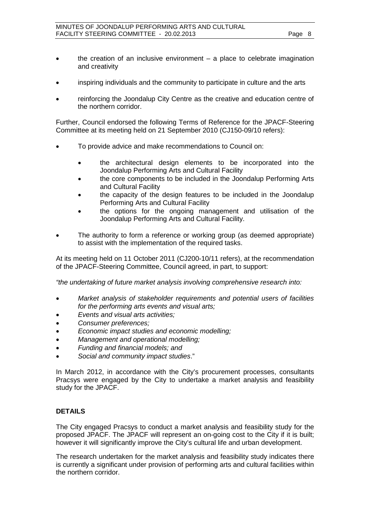- the creation of an inclusive environment a place to celebrate imagination and creativity
- inspiring individuals and the community to participate in culture and the arts
- reinforcing the Joondalup City Centre as the creative and education centre of the northern corridor.

Further, Council endorsed the following Terms of Reference for the JPACF-Steering Committee at its meeting held on 21 September 2010 (CJ150-09/10 refers):

- To provide advice and make recommendations to Council on:
	- the architectural design elements to be incorporated into the Joondalup Performing Arts and Cultural Facility
	- the core components to be included in the Joondalup Performing Arts and Cultural Facility
	- the capacity of the design features to be included in the Joondalup Performing Arts and Cultural Facility
	- the options for the ongoing management and utilisation of the Joondalup Performing Arts and Cultural Facility.
- The authority to form a reference or working group (as deemed appropriate) to assist with the implementation of the required tasks.

At its meeting held on 11 October 2011 (CJ200-10/11 refers), at the recommendation of the JPACF-Steering Committee, Council agreed, in part, to support:

*"the undertaking of future market analysis involving comprehensive research into:*

- *Market analysis of stakeholder requirements and potential users of facilities for the performing arts events and visual arts;*
- *Events and visual arts activities;*
- *Consumer preferences;*
- *Economic impact studies and economic modelling;*
- *Management and operational modelling;*
- *Funding and financial models; and*
- *Social and community impact studies*."

In March 2012, in accordance with the City's procurement processes, consultants Pracsys were engaged by the City to undertake a market analysis and feasibility study for the JPACF.

# **DETAILS**

The City engaged Pracsys to conduct a market analysis and feasibility study for the proposed JPACF. The JPACF will represent an on-going cost to the City if it is built; however it will significantly improve the City's cultural life and urban development.

The research undertaken for the market analysis and feasibility study indicates there is currently a significant under provision of performing arts and cultural facilities within the northern corridor.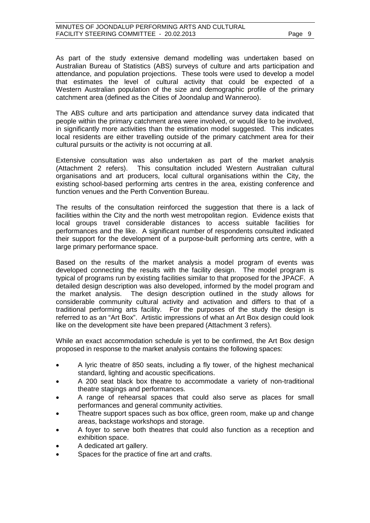As part of the study extensive demand modelling was undertaken based on Australian Bureau of Statistics (ABS) surveys of culture and arts participation and attendance, and population projections. These tools were used to develop a model that estimates the level of cultural activity that could be expected of a Western Australian population of the size and demographic profile of the primary catchment area (defined as the Cities of Joondalup and Wanneroo).

The ABS culture and arts participation and attendance survey data indicated that people within the primary catchment area were involved, or would like to be involved, in significantly more activities than the estimation model suggested. This indicates local residents are either travelling outside of the primary catchment area for their cultural pursuits or the activity is not occurring at all.

Extensive consultation was also undertaken as part of the market analysis (Attachment 2 refers). This consultation included Western Australian cultural This consultation included Western Australian cultural organisations and art producers, local cultural organisations within the City, the existing school-based performing arts centres in the area, existing conference and function venues and the Perth Convention Bureau.

The results of the consultation reinforced the suggestion that there is a lack of facilities within the City and the north west metropolitan region. Evidence exists that local groups travel considerable distances to access suitable facilities for performances and the like. A significant number of respondents consulted indicated their support for the development of a purpose-built performing arts centre, with a large primary performance space.

Based on the results of the market analysis a model program of events was developed connecting the results with the facility design. The model program is typical of programs run by existing facilities similar to that proposed for the JPACF. A detailed design description was also developed, informed by the model program and the market analysis. The design description outlined in the study allows for considerable community cultural activity and activation and differs to that of a traditional performing arts facility. For the purposes of the study the design is referred to as an "Art Box". Artistic impressions of what an Art Box design could look like on the development site have been prepared (Attachment 3 refers).

While an exact accommodation schedule is yet to be confirmed, the Art Box design proposed in response to the market analysis contains the following spaces:

- A lyric theatre of 850 seats, including a fly tower, of the highest mechanical standard, lighting and acoustic specifications.
- A 200 seat black box theatre to accommodate a variety of non-traditional theatre stagings and performances.
- A range of rehearsal spaces that could also serve as places for small performances and general community activities.
- Theatre support spaces such as box office, green room, make up and change areas, backstage workshops and storage.
- A foyer to serve both theatres that could also function as a reception and exhibition space.
- A dedicated art gallery.
- Spaces for the practice of fine art and crafts.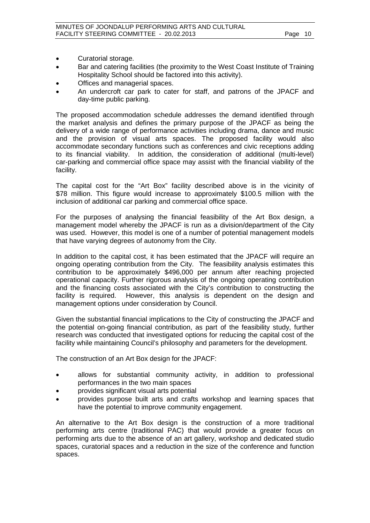- Curatorial storage.
- Bar and catering facilities (the proximity to the West Coast Institute of Training Hospitality School should be factored into this activity).
- Offices and managerial spaces.
- An undercroft car park to cater for staff, and patrons of the JPACF and day-time public parking.

The proposed accommodation schedule addresses the demand identified through the market analysis and defines the primary purpose of the JPACF as being the delivery of a wide range of performance activities including drama, dance and music and the provision of visual arts spaces. The proposed facility would also accommodate secondary functions such as conferences and civic receptions adding to its financial viability. In addition, the consideration of additional (multi-level) car-parking and commercial office space may assist with the financial viability of the facility.

The capital cost for the "Art Box" facility described above is in the vicinity of \$78 million. This figure would increase to approximately \$100.5 million with the inclusion of additional car parking and commercial office space.

For the purposes of analysing the financial feasibility of the Art Box design, a management model whereby the JPACF is run as a division/department of the City was used. However, this model is one of a number of potential management models that have varying degrees of autonomy from the City.

In addition to the capital cost, it has been estimated that the JPACF will require an ongoing operating contribution from the City. The feasibility analysis estimates this contribution to be approximately \$496,000 per annum after reaching projected operational capacity. Further rigorous analysis of the ongoing operating contribution and the financing costs associated with the City's contribution to constructing the facility is required. However, this analysis is dependent on the design and management options under consideration by Council.

Given the substantial financial implications to the City of constructing the JPACF and the potential on-going financial contribution, as part of the feasibility study, further research was conducted that investigated options for reducing the capital cost of the facility while maintaining Council's philosophy and parameters for the development.

The construction of an Art Box design for the JPACF:

- allows for substantial community activity, in addition to professional performances in the two main spaces
- provides significant visual arts potential
- provides purpose built arts and crafts workshop and learning spaces that have the potential to improve community engagement.

An alternative to the Art Box design is the construction of a more traditional performing arts centre (traditional PAC) that would provide a greater focus on performing arts due to the absence of an art gallery, workshop and dedicated studio spaces, curatorial spaces and a reduction in the size of the conference and function spaces.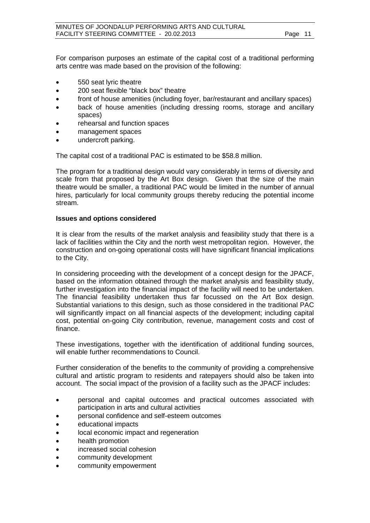For comparison purposes an estimate of the capital cost of a traditional performing arts centre was made based on the provision of the following:

- 550 seat lyric theatre
- 200 seat flexible "black box" theatre
- front of house amenities (including foyer, bar/restaurant and ancillary spaces)
- back of house amenities (including dressing rooms, storage and ancillary spaces)
- rehearsal and function spaces
- management spaces
- undercroft parking.

The capital cost of a traditional PAC is estimated to be \$58.8 million.

The program for a traditional design would vary considerably in terms of diversity and scale from that proposed by the Art Box design. Given that the size of the main theatre would be smaller, a traditional PAC would be limited in the number of annual hires, particularly for local community groups thereby reducing the potential income stream.

## **Issues and options considered**

It is clear from the results of the market analysis and feasibility study that there is a lack of facilities within the City and the north west metropolitan region. However, the construction and on-going operational costs will have significant financial implications to the City.

In considering proceeding with the development of a concept design for the JPACF, based on the information obtained through the market analysis and feasibility study, further investigation into the financial impact of the facility will need to be undertaken. The financial feasibility undertaken thus far focussed on the Art Box design. Substantial variations to this design, such as those considered in the traditional PAC will significantly impact on all financial aspects of the development; including capital cost, potential on-going City contribution, revenue, management costs and cost of finance.

These investigations, together with the identification of additional funding sources, will enable further recommendations to Council.

Further consideration of the benefits to the community of providing a comprehensive cultural and artistic program to residents and ratepayers should also be taken into account. The social impact of the provision of a facility such as the JPACF includes:

- personal and capital outcomes and practical outcomes associated with participation in arts and cultural activities
- personal confidence and self-esteem outcomes
- educational impacts
- local economic impact and regeneration
- health promotion
- increased social cohesion
- community development
- community empowerment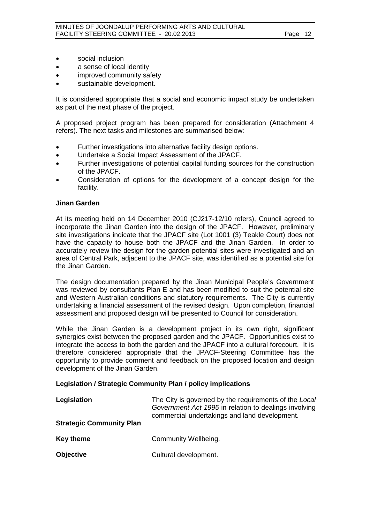- social inclusion
- a sense of local identity
- improved community safety
- sustainable development.

It is considered appropriate that a social and economic impact study be undertaken as part of the next phase of the project.

A proposed project program has been prepared for consideration (Attachment 4 refers). The next tasks and milestones are summarised below:

- Further investigations into alternative facility design options.
- Undertake a Social Impact Assessment of the JPACF.
- Further investigations of potential capital funding sources for the construction of the JPACF.
- Consideration of options for the development of a concept design for the facility.

# **Jinan Garden**

At its meeting held on 14 December 2010 (CJ217-12/10 refers), Council agreed to incorporate the Jinan Garden into the design of the JPACF. However, preliminary site investigations indicate that the JPACF site (Lot 1001 (3) Teakle Court) does not have the capacity to house both the JPACF and the Jinan Garden. In order to accurately review the design for the garden potential sites were investigated and an area of Central Park, adjacent to the JPACF site, was identified as a potential site for the Jinan Garden.

The design documentation prepared by the Jinan Municipal People's Government was reviewed by consultants Plan E and has been modified to suit the potential site and Western Australian conditions and statutory requirements. The City is currently undertaking a financial assessment of the revised design. Upon completion, financial assessment and proposed design will be presented to Council for consideration.

While the Jinan Garden is a development project in its own right, significant synergies exist between the proposed garden and the JPACF. Opportunities exist to integrate the access to both the garden and the JPACF into a cultural forecourt. It is therefore considered appropriate that the JPACF-Steering Committee has the opportunity to provide comment and feedback on the proposed location and design development of the Jinan Garden.

# **Legislation / Strategic Community Plan / policy implications**

| Legislation                     | The City is governed by the requirements of the Local<br>Government Act 1995 in relation to dealings involving<br>commercial undertakings and land development. |  |  |  |
|---------------------------------|-----------------------------------------------------------------------------------------------------------------------------------------------------------------|--|--|--|
| <b>Strategic Community Plan</b> |                                                                                                                                                                 |  |  |  |
| Key theme                       | Community Wellbeing.                                                                                                                                            |  |  |  |
| <b>Objective</b>                | Cultural development.                                                                                                                                           |  |  |  |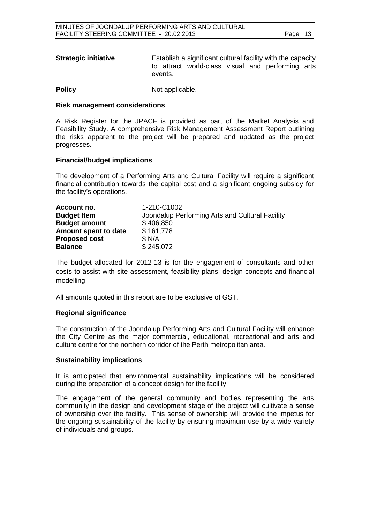| <b>Strategic initiative</b> |         | Establish a significant cultural facility with the capacity |  |  |
|-----------------------------|---------|-------------------------------------------------------------|--|--|
|                             |         | to attract world-class visual and performing arts           |  |  |
|                             | events. |                                                             |  |  |

**Policy** Not applicable.

# **Risk management considerations**

A Risk Register for the JPACF is provided as part of the Market Analysis and Feasibility Study. A comprehensive Risk Management Assessment Report outlining the risks apparent to the project will be prepared and updated as the project progresses.

# **Financial/budget implications**

The development of a Performing Arts and Cultural Facility will require a significant financial contribution towards the capital cost and a significant ongoing subsidy for the facility's operations.

| Account no.          | 1-210-C1002                                     |
|----------------------|-------------------------------------------------|
| <b>Budget Item</b>   | Joondalup Performing Arts and Cultural Facility |
| <b>Budget amount</b> | \$406,850                                       |
| Amount spent to date | \$161,778                                       |
| <b>Proposed cost</b> | \$N/A                                           |
| <b>Balance</b>       | \$245,072                                       |

The budget allocated for 2012-13 is for the engagement of consultants and other costs to assist with site assessment, feasibility plans, design concepts and financial modelling.

All amounts quoted in this report are to be exclusive of GST.

# **Regional significance**

The construction of the Joondalup Performing Arts and Cultural Facility will enhance the City Centre as the major commercial, educational, recreational and arts and culture centre for the northern corridor of the Perth metropolitan area.

# **Sustainability implications**

It is anticipated that environmental sustainability implications will be considered during the preparation of a concept design for the facility.

The engagement of the general community and bodies representing the arts community in the design and development stage of the project will cultivate a sense of ownership over the facility. This sense of ownership will provide the impetus for the ongoing sustainability of the facility by ensuring maximum use by a wide variety of individuals and groups.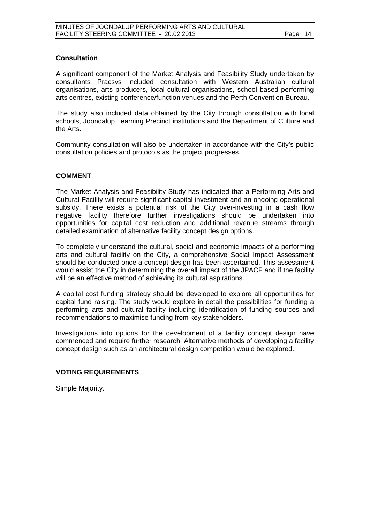# **Consultation**

A significant component of the Market Analysis and Feasibility Study undertaken by consultants Pracsys included consultation with Western Australian cultural organisations, arts producers, local cultural organisations, school based performing arts centres, existing conference/function venues and the Perth Convention Bureau.

The study also included data obtained by the City through consultation with local schools, Joondalup Learning Precinct institutions and the Department of Culture and the Arts.

Community consultation will also be undertaken in accordance with the City's public consultation policies and protocols as the project progresses.

# **COMMENT**

The Market Analysis and Feasibility Study has indicated that a Performing Arts and Cultural Facility will require significant capital investment and an ongoing operational subsidy. There exists a potential risk of the City over-investing in a cash flow negative facility therefore further investigations should be undertaken into opportunities for capital cost reduction and additional revenue streams through detailed examination of alternative facility concept design options.

To completely understand the cultural, social and economic impacts of a performing arts and cultural facility on the City, a comprehensive Social Impact Assessment should be conducted once a concept design has been ascertained. This assessment would assist the City in determining the overall impact of the JPACF and if the facility will be an effective method of achieving its cultural aspirations.

A capital cost funding strategy should be developed to explore all opportunities for capital fund raising. The study would explore in detail the possibilities for funding a performing arts and cultural facility including identification of funding sources and recommendations to maximise funding from key stakeholders.

Investigations into options for the development of a facility concept design have commenced and require further research. Alternative methods of developing a facility concept design such as an architectural design competition would be explored.

# **VOTING REQUIREMENTS**

Simple Majority.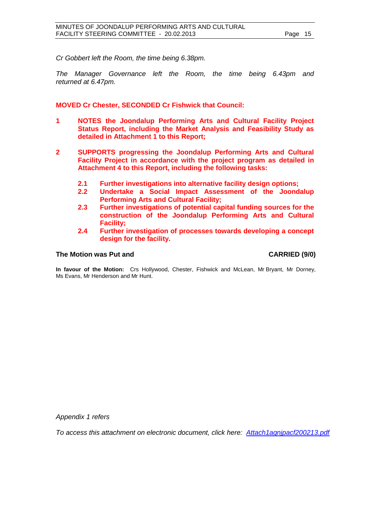*Cr Gobbert left the Room, the time being 6.38pm.* 

*The Manager Governance left the Room, the time being 6.43pm and returned at 6.47pm.*

**MOVED Cr Chester, SECONDED Cr Fishwick that Council:**

- **1 NOTES the Joondalup Performing Arts and Cultural Facility Project Status Report, including the Market Analysis and Feasibility Study as detailed in Attachment 1 to this Report;**
- **2 SUPPORTS progressing the Joondalup Performing Arts and Cultural Facility Project in accordance with the project program as detailed in Attachment 4 to this Report, including the following tasks:**
	- **2.1 Further investigations into alternative facility design options;**
	- **2.2 Undertake a Social Impact Assessment of the Joondalup Performing Arts and Cultural Facility;**
	- **2.3 Further investigations of potential capital funding sources for the construction of the Joondalup Performing Arts and Cultural Facility;**
	- **2.4 Further investigation of processes towards developing a concept design for the facility.**

# **The Motion was Put and CARRIED (9/0)**

**In favour of the Motion:** Crs Hollywood, Chester, Fishwick and McLean, Mr Bryant, Mr Dorney, Ms Evans, Mr Henderson and Mr Hunt.

*Appendix 1 refers*

*To access this attachment on electronic document, click here: [Attach1agnjpacf200213.pdf](http://www.joondalup.wa.gov.au/files/committees/JRPA/2013/Attach1agnjpacf200213.pdf)*